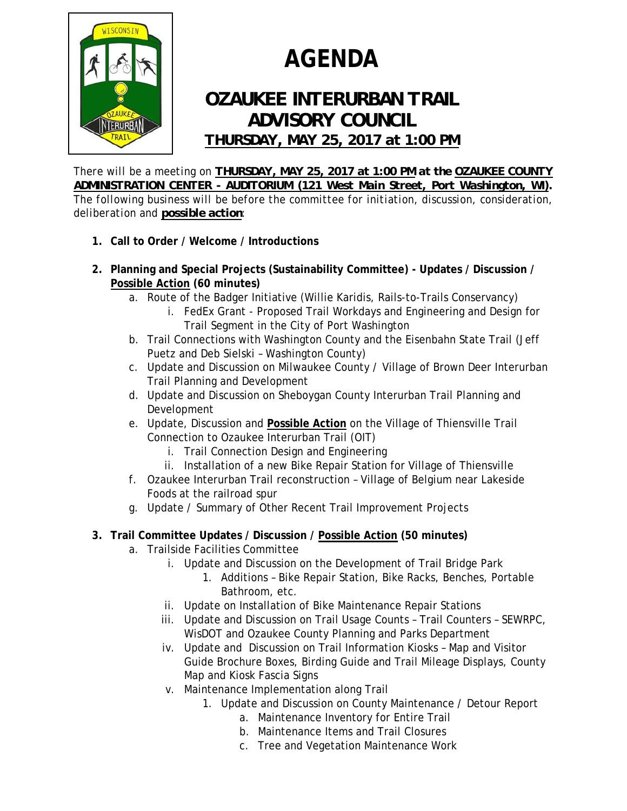

## **AGENDA**

## *OZAUKEE INTERURBAN TRAIL ADVISORY COUNCIL THURSDAY, MAY 25, 2017 at 1:00 PM*

*There will be a meeting on THURSDAY, MAY 25, 2017 at 1:00 PM at the OZAUKEE COUNTY ADMINISTRATION CENTER - AUDITORIUM (121 West Main Street, Port Washington, WI). The following business will be before the committee for initiation, discussion, consideration, deliberation and possible action:* 

- **1. Call to Order / Welcome / Introductions**
- **2. Planning and Special Projects (Sustainability Committee) Updates / Discussion / Possible Action (60 minutes)** 
	- a. Route of the Badger Initiative (Willie Karidis, Rails-to-Trails Conservancy)
		- i. FedEx Grant Proposed Trail Workdays and Engineering and Design for Trail Segment in the City of Port Washington
	- b. Trail Connections with Washington County and the Eisenbahn State Trail (Jeff Puetz and Deb Sielski – Washington County)
	- c. Update and Discussion on Milwaukee County / Village of Brown Deer Interurban Trail Planning and Development
	- d. Update and Discussion on Sheboygan County Interurban Trail Planning and Development
	- e. Update, Discussion and **Possible Action** on the Village of Thiensville Trail Connection to Ozaukee Interurban Trail (OIT)
		- i. Trail Connection Design and Engineering
		- ii. Installation of a new Bike Repair Station for Village of Thiensville
	- f. Ozaukee Interurban Trail reconstruction Village of Belgium near Lakeside Foods at the railroad spur
	- g. Update / Summary of Other Recent Trail Improvement Projects
- **3. Trail Committee Updates / Discussion / Possible Action (50 minutes)** 
	- a. Trailside Facilities Committee
		- i. Update and Discussion on the Development of Trail Bridge Park
			- 1. Additions Bike Repair Station, Bike Racks, Benches, Portable Bathroom, etc.
		- ii. Update on Installation of Bike Maintenance Repair Stations
		- iii. Update and Discussion on Trail Usage Counts Trail Counters SEWRPC, WisDOT and Ozaukee County Planning and Parks Department
		- iv. Update and Discussion on Trail Information Kiosks Map and Visitor Guide Brochure Boxes, Birding Guide and Trail Mileage Displays, County Map and Kiosk Fascia Signs
		- v. Maintenance Implementation along Trail
			- 1. Update and Discussion on County Maintenance / Detour Report
				- a. Maintenance Inventory for Entire Trail
				- b. Maintenance Items and Trail Closures
				- c. Tree and Vegetation Maintenance Work